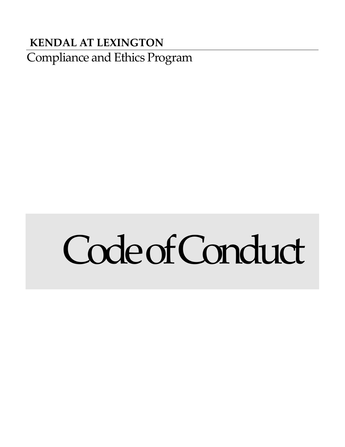# Compliance and Ethics Program **KENDAL AT LEXINGTON**

# CodeofConduct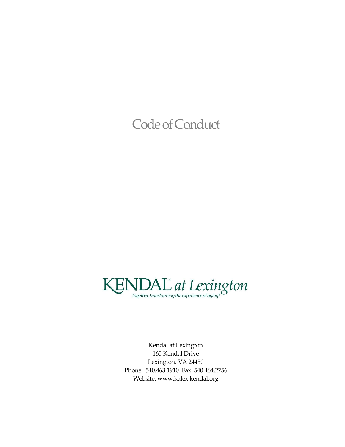# Code of Conduct



 Kendal at Lexington 160 Kendal Drive Lexington, VA 24450 Phone: 540.463.1910 Fax: 540.464.2756 Website:<www.kalex.kendal.org>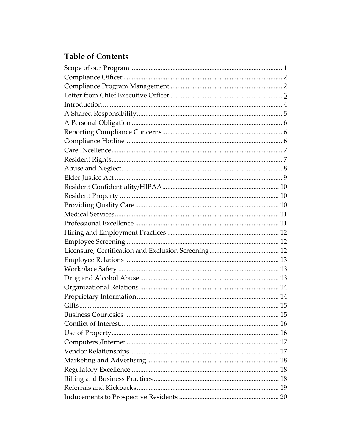# **Table of Contents**

| <b>Business Courtesies</b> | 15 |
|----------------------------|----|
|                            |    |
|                            |    |
|                            |    |
|                            |    |
|                            |    |
|                            |    |
|                            |    |
|                            |    |
|                            |    |
|                            |    |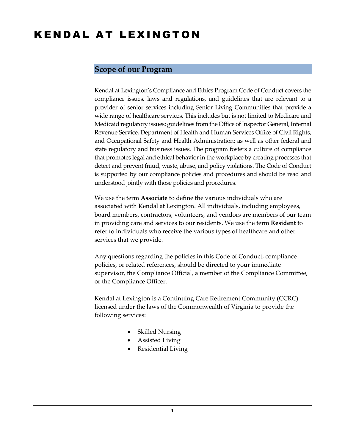# KENDAL AT LEXINGTON

#### <span id="page-4-0"></span>**Scope of our Program**

 Kendal at Lexington's Compliance and Ethics Program Code of Conduct covers the compliance issues, laws and regulations, and guidelines that are relevant to a provider of senior services including Senior Living Communities that provide a wide range of healthcare services. This includes but is not limited to Medicare and Medicaid regulatory issues; guidelines from the Office of Inspector General, Internal Revenue Service, Department of Health and Human Services Office of Civil Rights, and Occupational Safety and Health Administration; as well as other federal and state regulatory and business issues. The program fosters a culture of compliance that promotes legal and ethical behavior in the workplace by creating processes that detect and prevent fraud, waste, abuse, and policy violations. The Code of Conduct is supported by our compliance policies and procedures and should be read and understood jointly with those policies and procedures.

 board members, contractors, volunteers, and vendors are members of our team We use the term **Associate** to define the various individuals who are associated with Kendal at Lexington. All individuals, including employees, in providing care and services to our residents. We use the term **Resident** to refer to individuals who receive the various types of healthcare and other services that we provide.

Any questions regarding the policies in this Code of Conduct, compliance policies, or related references, should be directed to your immediate supervisor, the Compliance Official, a member of the Compliance Committee, or the Compliance Officer.

Kendal at Lexington is a Continuing Care Retirement Community (CCRC) licensed under the laws of the Commonwealth of Virginia to provide the following services:

- Skilled Nursing
- Assisted Living
- Residential Living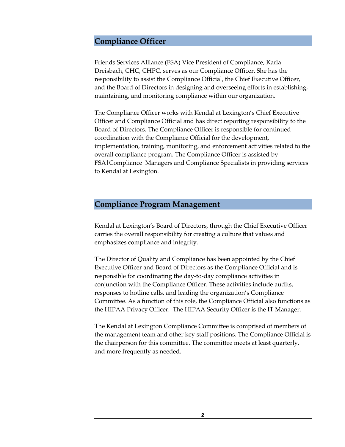#### <span id="page-5-0"></span>**Compliance Officer**

Friends Services Alliance (FSA) Vice President of Compliance, Karla Dreisbach, CHC, CHPC, serves as our Compliance Officer. She has the responsibility to assist the Compliance Official, the Chief Executive Officer, and the Board of Directors in designing and overseeing efforts in establishing, maintaining, and monitoring compliance within our organization.

 The Compliance Officer works with Kendal at Lexington's Chief Executive Board of Directors. The Compliance Officer is responsible for continued Officer and Compliance Official and has direct reporting responsibility to the coordination with the Compliance Official for the development, implementation, training, monitoring, and enforcement activities related to the overall compliance program. The Compliance Officer is assisted by FSA|Compliance Managers and Compliance Specialists in providing services to Kendal at Lexington.

#### <span id="page-5-1"></span>**Compliance Program Management**

Kendal at Lexington's Board of Directors, through the Chief Executive Officer carries the overall responsibility for creating a culture that values and emphasizes compliance and integrity.

 the HIPAA Privacy Officer. The HIPAA Security Officer is the IT Manager. The Director of Quality and Compliance has been appointed by the Chief Executive Officer and Board of Directors as the Compliance Official and is responsible for coordinating the day-to-day compliance activities in conjunction with the Compliance Officer. These activities include audits, responses to hotline calls, and leading the organization's Compliance Committee. As a function of this role, the Compliance Official also functions as

The Kendal at Lexington Compliance Committee is comprised of members of the management team and other key staff positions. The Compliance Official is the chairperson for this committee. The committee meets at least quarterly, and more frequently as needed.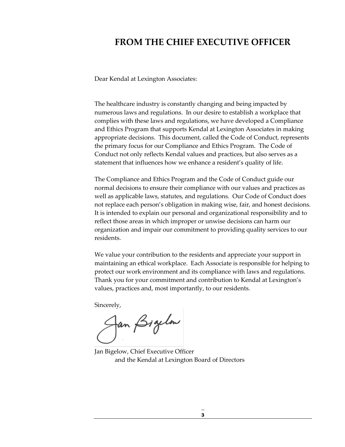#### <span id="page-6-0"></span>**FROM THE CHIEF EXECUTIVE OFFICER**

Dear Kendal at Lexington Associates:

 numerous laws and regulations. In our desire to establish a workplace that The healthcare industry is constantly changing and being impacted by complies with these laws and regulations, we have developed a Compliance and Ethics Program that supports Kendal at Lexington Associates in making appropriate decisions. This document, called the Code of Conduct, represents the primary focus for our Compliance and Ethics Program. The Code of Conduct not only reflects Kendal values and practices, but also serves as a statement that influences how we enhance a resident's quality of life.

 It is intended to explain our personal and organizational responsibility and to reflect those areas in which improper or unwise decisions can harm our The Compliance and Ethics Program and the Code of Conduct guide our normal decisions to ensure their compliance with our values and practices as well as applicable laws, statutes, and regulations. Our Code of Conduct does not replace each person's obligation in making wise, fair, and honest decisions. organization and impair our commitment to providing quality services to our residents.

We value your contribution to the residents and appreciate your support in maintaining an ethical workplace. Each Associate is responsible for helping to protect our work environment and its compliance with laws and regulations. Thank you for your commitment and contribution to Kendal at Lexington's values, practices and, most importantly, to our residents.

Sincerely,

fan *Bigelo*w

Jan Bigelow, Chief Executive Officer and the Kendal at Lexington Board of Directors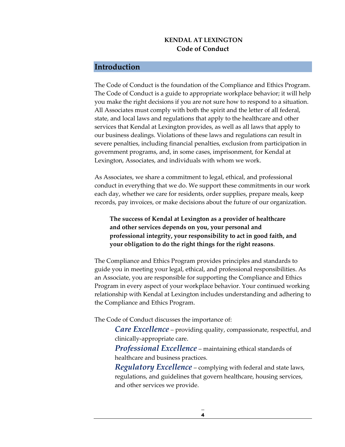#### **KENDAL AT LEXINGTON Code of Conduct**

#### <span id="page-7-0"></span>**Introduction**

 severe penalties, including financial penalties, exclusion from participation in The Code of Conduct is the foundation of the Compliance and Ethics Program. The Code of Conduct is a guide to appropriate workplace behavior; it will help you make the right decisions if you are not sure how to respond to a situation. All Associates must comply with both the spirit and the letter of all federal, state, and local laws and regulations that apply to the healthcare and other services that Kendal at Lexington provides, as well as all laws that apply to our business dealings. Violations of these laws and regulations can result in government programs, and, in some cases, imprisonment, for Kendal at Lexington, Associates, and individuals with whom we work.

As Associates, we share a commitment to legal, ethical, and professional conduct in everything that we do. We support these commitments in our work each day, whether we care for residents, order supplies, prepare meals, keep records, pay invoices, or make decisions about the future of our organization.

**The success of Kendal at Lexington as a provider of healthcare and other services depends on you, your personal and professional integrity, your responsibility to act in good faith, and your obligation to do the right things for the right reasons**.

The Compliance and Ethics Program provides principles and standards to guide you in meeting your legal, ethical, and professional responsibilities. As an Associate, you are responsible for supporting the Compliance and Ethics Program in every aspect of your workplace behavior. Your continued working relationship with Kendal at Lexington includes understanding and adhering to the Compliance and Ethics Program.

The Code of Conduct discusses the importance of:

*Care Excellence* – providing quality, compassionate, respectful, and clinically-appropriate care.

*Professional Excellence* – maintaining ethical standards of healthcare and business practices.

*Regulatory Excellence* – complying with federal and state laws, regulations, and guidelines that govern healthcare, housing services, and other services we provide.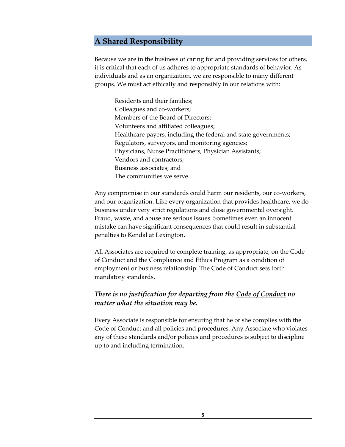#### <span id="page-8-0"></span>**A Shared Responsibility**

Because we are in the business of caring for and providing services for others, it is critical that each of us adheres to appropriate standards of behavior. As individuals and as an organization, we are responsible to many different groups. We must act ethically and responsibly in our relations with:

Residents and their families; Colleagues and co-workers; Members of the Board of Directors; Volunteers and affiliated colleagues; Healthcare payers, including the federal and state governments; Regulators, surveyors, and monitoring agencies; Physicians, Nurse Practitioners, Physician Assistants; Vendors and contractors; Business associates; and The communities we serve.

Any compromise in our standards could harm our residents, our co-workers, and our organization. Like every organization that provides healthcare, we do business under very strict regulations and close governmental oversight. Fraud, waste, and abuse are serious issues. Sometimes even an innocent mistake can have significant consequences that could result in substantial penalties to Kendal at Lexington**.** 

All Associates are required to complete training, as appropriate, on the Code of Conduct and the Compliance and Ethics Program as a condition of employment or business relationship. The Code of Conduct sets forth mandatory standards.

#### *There is no justification for departing from the Code of Conduct no matter what the situation may be.*

Every Associate is responsible for ensuring that he or she complies with the Code of Conduct and all policies and procedures. Any Associate who violates any of these standards and/or policies and procedures is subject to discipline up to and including termination.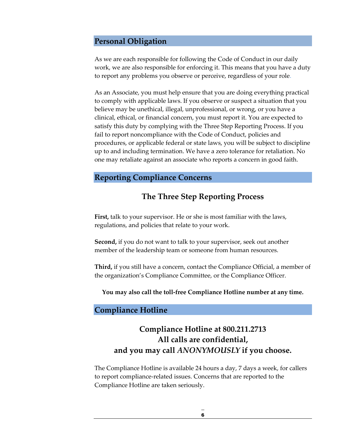#### <span id="page-9-0"></span>**Personal Obligation**

As we are each responsible for following the Code of Conduct in our daily work, we are also responsible for enforcing it. This means that you have a duty to report any problems you observe or perceive, regardless of your role.

 to comply with applicable laws. If you observe or suspect a situation that you As an Associate, you must help ensure that you are doing everything practical believe may be unethical, illegal, unprofessional, or wrong, or you have a clinical, ethical, or financial concern, you must report it. You are expected to satisfy this duty by complying with the Three Step Reporting Process. If you fail to report noncompliance with the Code of Conduct, policies and procedures, or applicable federal or state laws, you will be subject to discipline up to and including termination. We have a zero tolerance for retaliation. No one may retaliate against an associate who reports a concern in good faith.

#### <span id="page-9-1"></span>**Reporting Compliance Concerns**

#### **The Three Step Reporting Process**

**First,** talk to your supervisor. He or she is most familiar with the laws, regulations, and policies that relate to your work.

**Second,** if you do not want to talk to your supervisor, seek out another member of the leadership team or someone from human resources.

**Third,** if you still have a concern, contact the Compliance Official, a member of the organization's Compliance Committee, or the Compliance Officer.

**You may also call the toll-free Compliance Hotline number at any time.** 

#### <span id="page-9-2"></span>**Compliance Hotline**

## **Compliance Hotline at 800.211.2713 All calls are confidential, and you may call** *ANONYMOUSLY* **if you choose.**

The Compliance Hotline is available 24 hours a day, 7 days a week, for callers to report compliance-related issues. Concerns that are reported to the Compliance Hotline are taken seriously.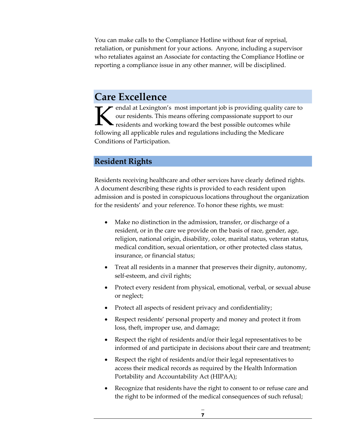You can make calls to the Compliance Hotline without fear of reprisal, retaliation, or punishment for your actions. Anyone, including a supervisor who retaliates against an Associate for contacting the Compliance Hotline or reporting a compliance issue in any other manner, will be disciplined.

# <span id="page-10-0"></span>**Care Excellence**

endal at Lexington's most important job is providing quality care to our residents. This means offering compassionate support to our residents and working toward the best possible outcomes while following all applicable ru residents and working toward the best possible outcomes while following all applicable rules and regulations including the Medicare Conditions of Participation.

#### <span id="page-10-1"></span>**Resident Rights**

Residents receiving healthcare and other services have clearly defined rights. A document describing these rights is provided to each resident upon admission and is posted in conspicuous locations throughout the organization for the residents' and your reference. To honor these rights, we must:

- Make no distinction in the admission, transfer, or discharge of a resident, or in the care we provide on the basis of race, gender, age, religion, national origin, disability, color, marital status, veteran status, medical condition, sexual orientation, or other protected class status, insurance, or financial status;
- Treat all residents in a manner that preserves their dignity, autonomy, self-esteem, and civil rights;
- Protect every resident from physical, emotional, verbal, or sexual abuse or neglect;
- Protect all aspects of resident privacy and confidentiality;
- • Respect residents' personal property and money and protect it from loss, theft, improper use, and damage;
- Respect the right of residents and/or their legal representatives to be informed of and participate in decisions about their care and treatment;
- access their medical records as required by the Health Information • Respect the right of residents and/or their legal representatives to Portability and Accountability Act (HIPAA);
- Recognize that residents have the right to consent to or refuse care and the right to be informed of the medical consequences of such refusal;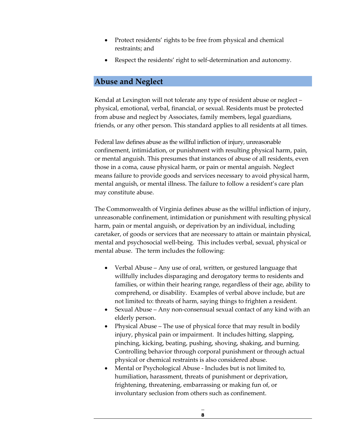- Protect residents' rights to be free from physical and chemical restraints; and
- Respect the residents' right to self-determination and autonomy.

#### <span id="page-11-0"></span>**Abuse and Neglect**

 Kendal at Lexington will not tolerate any type of resident abuse or neglect – physical, emotional, verbal, financial, or sexual. Residents must be protected from abuse and neglect by Associates, family members, legal guardians, friends, or any other person. This standard applies to all residents at all times.

 Federal law defines abuse as the willful infliction of injury, unreasonable or mental anguish. This presumes that instances of abuse of all residents, even mental anguish, or mental illness. The failure to follow a resident's care plan confinement, intimidation, or punishment with resulting physical harm, pain, those in a coma, cause physical harm, or pain or mental anguish. Neglect means failure to provide goods and services necessary to avoid physical harm, may constitute abuse.

The Commonwealth of Virginia defines abuse as the willful infliction of injury, unreasonable confinement, intimidation or punishment with resulting physical harm, pain or mental anguish, or deprivation by an individual, including caretaker, of goods or services that are necessary to attain or maintain physical, mental and psychosocial well-being. This includes verbal, sexual, physical or mental abuse. The term includes the following:

- comprehend, or disability. Examples of verbal above include, but are not limited to: threats of harm, saying things to frighten a resident. • Verbal Abuse – Any use of oral, written, or gestured language that willfully includes disparaging and derogatory terms to residents and families, or within their hearing range, regardless of their age, ability to
- Sexual Abuse Any non-consensual sexual contact of any kind with an elderly person.
- Physical Abuse The use of physical force that may result in bodily injury, physical pain or impairment. It includes hitting, slapping, pinching, kicking, beating, pushing, shoving, shaking, and burning. Controlling behavior through corporal punishment or through actual physical or chemical restraints is also considered abuse.
- Mental or Psychological Abuse Includes but is not limited to, humiliation, harassment, threats of punishment or deprivation, frightening, threatening, embarrassing or making fun of, or involuntary seclusion from others such as confinement.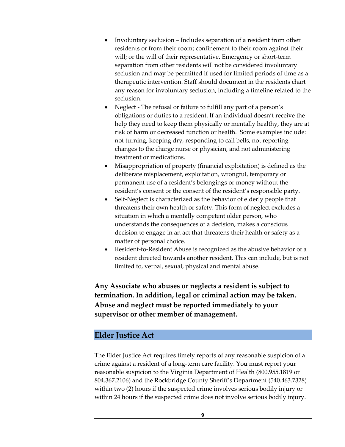- separation from other residents will not be considered involuntary seclusion and may be permitted if used for limited periods of time as a • Involuntary seclusion – Includes separation of a resident from other residents or from their room; confinement to their room against their will; or the will of their representative. Emergency or short-term therapeutic intervention. Staff should document in the residents chart any reason for involuntary seclusion, including a timeline related to the seclusion.
- treatment or medications. • Neglect - The refusal or failure to fulfill any part of a person's obligations or duties to a resident. If an individual doesn't receive the help they need to keep them physically or mentally healthy, they are at risk of harm or decreased function or health. Some examples include: not turning, keeping dry, responding to call bells, not reporting changes to the charge nurse or physician, and not administering
- resident's consent or the consent of the resident's responsible party. • Misappropriation of property (financial exploitation) is defined as the deliberate misplacement, exploitation, wrongful, temporary or permanent use of a resident's belongings or money without the
- threatens their own health or safety. This form of neglect excludes a Self-Neglect is characterized as the behavior of elderly people that situation in which a mentally competent older person, who understands the consequences of a decision, makes a conscious decision to engage in an act that threatens their health or safety as a matter of personal choice.
- Resident-to-Resident Abuse is recognized as the abusive behavior of a resident directed towards another resident. This can include, but is not limited to, verbal, sexual, physical and mental abuse.

**Any Associate who abuses or neglects a resident is subject to termination. In addition, legal or criminal action may be taken. Abuse and neglect must be reported immediately to your supervisor or other member of management.** 

#### <span id="page-12-0"></span> **Elder Justice Act**

The Elder Justice Act requires timely reports of any reasonable suspicion of a crime against a resident of a long-term care facility. You must report your reasonable suspicion to the Virginia Department of Health (800.955.1819 or 804.367.2106) and the Rockbridge County Sheriff's Department (540.463.7328) within two (2) hours if the suspected crime involves serious bodily injury or within 24 hours if the suspected crime does not involve serious bodily injury.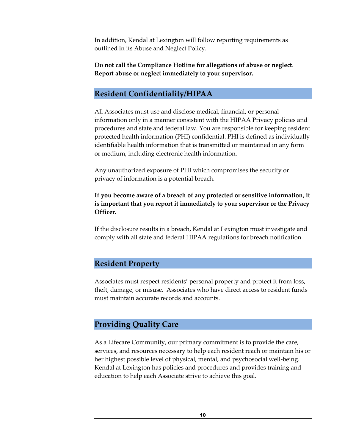In addition, Kendal at Lexington will follow reporting requirements as outlined in its Abuse and Neglect Policy.

**Do not call the Compliance Hotline for allegations of abuse or neglect**. **Report abuse or neglect immediately to your supervisor.** 

#### <span id="page-13-0"></span>**Resident Confidentiality/HIPAA**

 information only in a manner consistent with the HIPAA Privacy policies and identifiable health information that is transmitted or maintained in any form All Associates must use and disclose medical, financial, or personal procedures and state and federal law. You are responsible for keeping resident protected health information (PHI) confidential. PHI is defined as individually or medium, including electronic health information.

 Any unauthorized exposure of PHI which compromises the security or privacy of information is a potential breach.

#### **If you become aware of a breach of any protected or sensitive information, it is important that you report it immediately to your supervisor or the Privacy Officer.**

 comply with all state and federal HIPAA regulations for breach notification. If the disclosure results in a breach, Kendal at Lexington must investigate and

#### <span id="page-13-1"></span>**Resident Property**

Associates must respect residents' personal property and protect it from loss, theft, damage, or misuse. Associates who have direct access to resident funds must maintain accurate records and accounts.

#### <span id="page-13-2"></span>**Providing Quality Care**

 services, and resources necessary to help each resident reach or maintain his or As a Lifecare Community, our primary commitment is to provide the care, her highest possible level of physical, mental, and psychosocial well-being. Kendal at Lexington has policies and procedures and provides training and education to help each Associate strive to achieve this goal.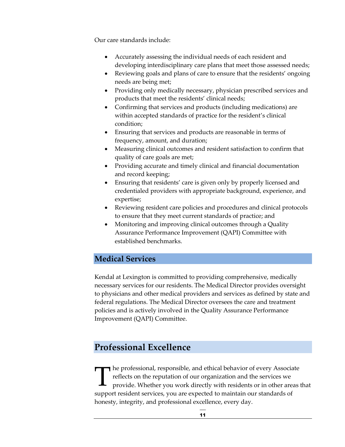Our care standards include:

- Accurately assessing the individual needs of each resident and developing interdisciplinary care plans that meet those assessed needs;
- Reviewing goals and plans of care to ensure that the residents' ongoing needs are being met;
- Providing only medically necessary, physician prescribed services and products that meet the residents' clinical needs;
- Confirming that services and products (including medications) are within accepted standards of practice for the resident's clinical condition;
- Ensuring that services and products are reasonable in terms of frequency, amount, and duration;
- Measuring clinical outcomes and resident satisfaction to confirm that quality of care goals are met;
- Providing accurate and timely clinical and financial documentation and record keeping;
- Ensuring that residents' care is given only by properly licensed and credentialed providers with appropriate background, experience, and expertise;
- Reviewing resident care policies and procedures and clinical protocols to ensure that they meet current standards of practice; and
- Monitoring and improving clinical outcomes through a Quality Assurance Performance Improvement (QAPI) Committee with established benchmarks.

#### <span id="page-14-0"></span>**Medical Services**

Kendal at Lexington is committed to providing comprehensive, medically necessary services for our residents. The Medical Director provides oversight to physicians and other medical providers and services as defined by state and federal regulations. The Medical Director oversees the care and treatment policies and is actively involved in the Quality Assurance Performance Improvement (QAPI) Committee.

## <span id="page-14-1"></span>**Professional Excellence**

I he professional, responsible, and ethical behavior of every Associate reflects on the reputation of our organization and the services we provide. Whether you work directly with residents or in other areas that support resident services, you are expected to maintain our standards of honesty, integrity, and professional excellence, every day.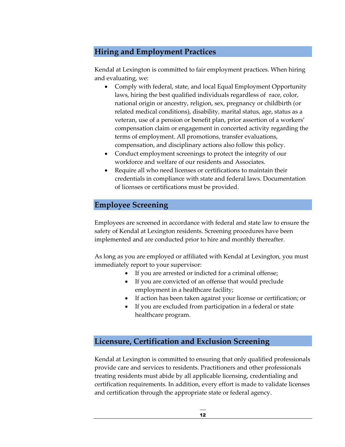#### <span id="page-15-0"></span>**Hiring and Employment Practices**

Kendal at Lexington is committed to fair employment practices. When hiring and evaluating, we:

- Comply with federal, state, and local Equal Employment Opportunity laws, hiring the best qualified individuals regardless of race, color, national origin or ancestry, religion, sex, pregnancy or childbirth (or related medical conditions), disability, marital status, age, status as a veteran, use of a pension or benefit plan, prior assertion of a workers' compensation claim or engagement in concerted activity regarding the terms of employment. All promotions, transfer evaluations, compensation, and disciplinary actions also follow this policy.
- Conduct employment screenings to protect the integrity of our workforce and welfare of our residents and Associates.
- Require all who need licenses or certifications to maintain their credentials in compliance with state and federal laws. Documentation of licenses or certifications must be provided.

#### <span id="page-15-1"></span>**Employee Screening**

Employees are screened in accordance with federal and state law to ensure the safety of Kendal at Lexington residents. Screening procedures have been implemented and are conducted prior to hire and monthly thereafter.

As long as you are employed or affiliated with Kendal at Lexington, you must immediately report to your supervisor:

- If you are arrested or indicted for a criminal offense;
- • If you are convicted of an offense that would preclude employment in a healthcare facility;
- If action has been taken against your license or certification; or
- • If you are excluded from participation in a federal or state healthcare program.

#### <span id="page-15-2"></span>**Licensure, Certification and Exclusion Screening**

Kendal at Lexington is committed to ensuring that only qualified professionals provide care and services to residents. Practitioners and other professionals treating residents must abide by all applicable licensing, credentialing and certification requirements. In addition, every effort is made to validate licenses and certification through the appropriate state or federal agency.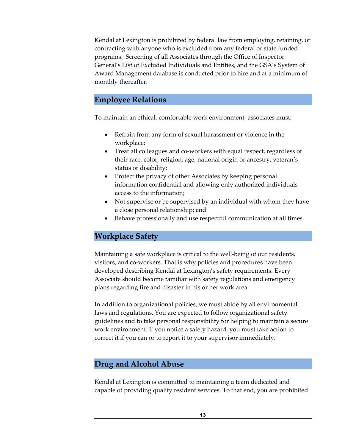Award Management database is conducted prior to hire and at a minimum of Kendal at Lexington is prohibited by federal law from employing, retaining, or contracting with anyone who is excluded from any federal or state funded programs. Screening of all Associates through the Office of Inspector General's List of Excluded Individuals and Entities, and the GSA's System of monthly thereafter.

#### <span id="page-16-0"></span>**Employee Relations**

To maintain an ethical, comfortable work environment, associates must:

- Refrain from any form of sexual harassment or violence in the workplace;
- Treat all colleagues and co-workers with equal respect, regardless of their race, color, religion, age, national origin or ancestry, veteran's status or disability;
- Protect the privacy of other Associates by keeping personal information confidential and allowing only authorized individuals access to the information;
- Not supervise or be supervised by an individual with whom they have a close personal relationship; and
- Behave professionally and use respectful communication at all times.

#### <span id="page-16-1"></span>**Workplace Safety**

Maintaining a safe workplace is critical to the well-being of our residents, visitors, and co-workers. That is why policies and procedures have been developed describing Kendal at Lexington's safety requirements. Every Associate should become familiar with safety regulations and emergency plans regarding fire and disaster in his or her work area.

In addition to organizational policies, we must abide by all environmental laws and regulations. You are expected to follow organizational safety guidelines and to take personal responsibility for helping to maintain a secure work environment. If you notice a safety hazard, you must take action to correct it if you can or to report it to your supervisor immediately.

#### <span id="page-16-2"></span>**Drug and Alcohol Abuse**

Kendal at Lexington is committed to maintaining a team dedicated and capable of providing quality resident services. To that end, you are prohibited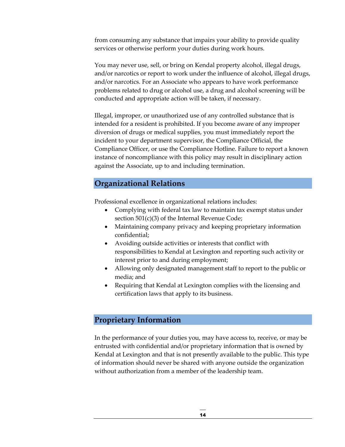from consuming any substance that impairs your ability to provide quality services or otherwise perform your duties during work hours.

You may never use, sell, or bring on Kendal property alcohol, illegal drugs, and/or narcotics or report to work under the influence of alcohol, illegal drugs, and/or narcotics. For an Associate who appears to have work performance problems related to drug or alcohol use, a drug and alcohol screening will be conducted and appropriate action will be taken, if necessary.

 instance of noncompliance with this policy may result in disciplinary action Illegal, improper, or unauthorized use of any controlled substance that is intended for a resident is prohibited. If you become aware of any improper diversion of drugs or medical supplies, you must immediately report the incident to your department supervisor, the Compliance Official, the Compliance Officer, or use the Compliance Hotline. Failure to report a known against the Associate, up to and including termination.

#### <span id="page-17-0"></span>**Organizational Relations**

Professional excellence in organizational relations includes:

- Complying with federal tax law to maintain tax exempt status under section 501(c)(3) of the Internal Revenue Code;
- Maintaining company privacy and keeping proprietary information confidential;
- Avoiding outside activities or interests that conflict with responsibilities to Kendal at Lexington and reporting such activity or interest prior to and during employment;
- Allowing only designated management staff to report to the public or media; and
- Requiring that Kendal at Lexington complies with the licensing and certification laws that apply to its business.

#### <span id="page-17-1"></span>**Proprietary Information**

In the performance of your duties you, may have access to, receive, or may be entrusted with confidential and/or proprietary information that is owned by Kendal at Lexington and that is not presently available to the public. This type of information should never be shared with anyone outside the organization without authorization from a member of the leadership team.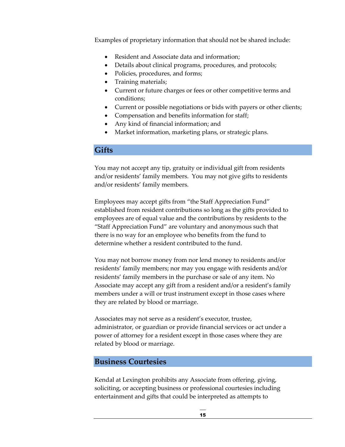Examples of proprietary information that should not be shared include:

- Resident and Associate data and information;
- Details about clinical programs, procedures, and protocols;
- Policies, procedures, and forms;
- Training materials;
- Current or future charges or fees or other competitive terms and conditions;
- Current or possible negotiations or bids with payers or other clients;
- Compensation and benefits information for staff;
- Any kind of financial information; and
- Market information, marketing plans, or strategic plans.

#### <span id="page-18-0"></span>**Gifts**

 You may not accept any tip, gratuity or individual gift from residents and/or residents' family members. You may not give gifts to residents and/or residents' family members.

 "Staff Appreciation Fund" are voluntary and anonymous such that determine whether a resident contributed to the fund. Employees may accept gifts from "the Staff Appreciation Fund" established from resident contributions so long as the gifts provided to employees are of equal value and the contributions by residents to the there is no way for an employee who benefits from the fund to

You may not borrow money from nor lend money to residents and/or residents' family members; nor may you engage with residents and/or residents' family members in the purchase or sale of any item. No Associate may accept any gift from a resident and/or a resident's family members under a will or trust instrument except in those cases where they are related by blood or marriage.

Associates may not serve as a resident's executor, trustee, administrator, or guardian or provide financial services or act under a power of attorney for a resident except in those cases where they are related by blood or marriage.

#### <span id="page-18-1"></span>**Business Courtesies**

Kendal at Lexington prohibits any Associate from offering, giving, soliciting, or accepting business or professional courtesies including entertainment and gifts that could be interpreted as attempts to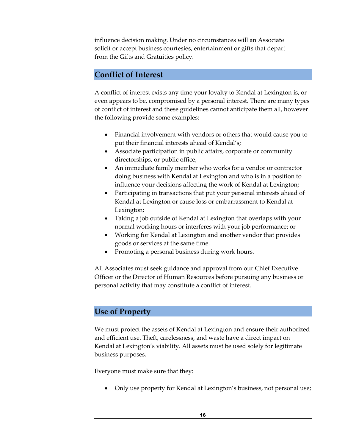influence decision making. Under no circumstances will an Associate solicit or accept business courtesies, entertainment or gifts that depart from the Gifts and Gratuities policy.

#### <span id="page-19-0"></span>**Conflict of Interest**

A conflict of interest exists any time your loyalty to Kendal at Lexington is, or even appears to be, compromised by a personal interest. There are many types of conflict of interest and these guidelines cannot anticipate them all, however the following provide some examples:

- put their financial interests ahead of Kendal's; • Financial involvement with vendors or others that would cause you to
- Associate participation in public affairs, corporate or community directorships, or public office;
- • An immediate family member who works for a vendor or contractor doing business with Kendal at Lexington and who is in a position to influence your decisions affecting the work of Kendal at Lexington;
- Participating in transactions that put your personal interests ahead of Kendal at Lexington or cause loss or embarrassment to Kendal at Lexington;
- Taking a job outside of Kendal at Lexington that overlaps with your normal working hours or interferes with your job performance; or
- Working for Kendal at Lexington and another vendor that provides goods or services at the same time.
- Promoting a personal business during work hours.

All Associates must seek guidance and approval from our Chief Executive Officer or the Director of Human Resources before pursuing any business or personal activity that may constitute a conflict of interest.

#### <span id="page-19-1"></span>**Use of Property**

We must protect the assets of Kendal at Lexington and ensure their authorized and efficient use. Theft, carelessness, and waste have a direct impact on Kendal at Lexington's viability. All assets must be used solely for legitimate business purposes.

Everyone must make sure that they:

• Only use property for Kendal at Lexington's business, not personal use;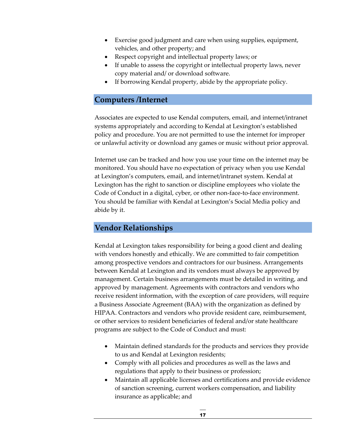- Exercise good judgment and care when using supplies, equipment, vehicles, and other property; and
- Respect copyright and intellectual property laws; or
- If unable to assess the copyright or intellectual property laws, never copy material and/ or download software.
- If borrowing Kendal property, abide by the appropriate policy.

#### <span id="page-20-0"></span>**Computers /Internet**

Associates are expected to use Kendal computers, email, and internet/intranet systems appropriately and according to Kendal at Lexington's established policy and procedure. You are not permitted to use the internet for improper or unlawful activity or download any games or music without prior approval.

Internet use can be tracked and how you use your time on the internet may be monitored. You should have no expectation of privacy when you use Kendal at Lexington's computers, email, and internet/intranet system. Kendal at Lexington has the right to sanction or discipline employees who violate the Code of Conduct in a digital, cyber, or other non-face-to-face environment. You should be familiar with Kendal at Lexington's Social Media policy and abide by it.

#### <span id="page-20-1"></span>**Vendor Relationships**

 approved by management. Agreements with contractors and vendors who a Business Associate Agreement (BAA) with the organization as defined by Kendal at Lexington takes responsibility for being a good client and dealing with vendors honestly and ethically. We are committed to fair competition among prospective vendors and contractors for our business. Arrangements between Kendal at Lexington and its vendors must always be approved by management. Certain business arrangements must be detailed in writing, and receive resident information, with the exception of care providers, will require HIPAA. Contractors and vendors who provide resident care, reimbursement, or other services to resident beneficiaries of federal and/or state healthcare programs are subject to the Code of Conduct and must:

- Maintain defined standards for the products and services they provide to us and Kendal at Lexington residents;
- Comply with all policies and procedures as well as the laws and regulations that apply to their business or profession;
- Maintain all applicable licenses and certifications and provide evidence of sanction screening, current workers compensation, and liability insurance as applicable; and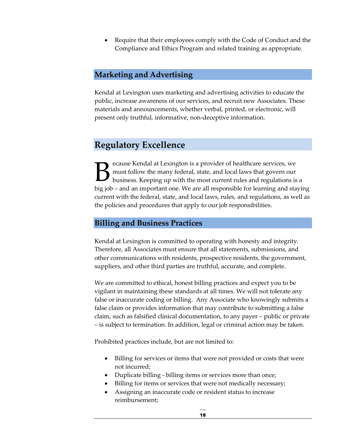• Require that their employees comply with the Code of Conduct and the Compliance and Ethics Program and related training as appropriate.

#### <span id="page-21-0"></span>**Marketing and Advertising**

Kendal at Lexington uses marketing and advertising activities to educate the public, increase awareness of our services, and recruit new Associates. These materials and announcements, whether verbal, printed, or electronic, will present only truthful, informative, non-deceptive information.

### <span id="page-21-1"></span>**Regulatory Excellence**

must follow the many federal, state, and local laws that govern our Examples and at Lexington is a provider of healthcare services, we must follow the many federal, state, and local laws that govern our business. Keeping up with the most current rules and regulations is business. Keeping up with the most current rules and regulations is a big job – and an important one. We are all responsible for learning and staying current with the federal, state, and local laws, rules, and regulations, as well as the policies and procedures that apply to our job responsibilities.

#### <span id="page-21-2"></span>**Billing and Business Practices**

Kendal at Lexington is committed to operating with honesty and integrity. Therefore, all Associates must ensure that all statements, submissions, and other communications with residents, prospective residents, the government, suppliers, and other third parties are truthful, accurate, and complete.

 claim, such as falsified clinical documentation, to any payer – public or private – is subject to termination. In addition, legal or criminal action may be taken. We are committed to ethical, honest billing practices and expect you to be vigilant in maintaining these standards at all times. We will not tolerate any false or inaccurate coding or billing. Any Associate who knowingly submits a false claim or provides information that may contribute to submitting a false

Prohibited practices include, but are not limited to:

- Billing for services or items that were not provided or costs that were not incurred;
- Duplicate billing billing items or services more than once;
- Billing for items or services that were not medically necessary;
- Assigning an inaccurate code or resident status to increase reimbursement;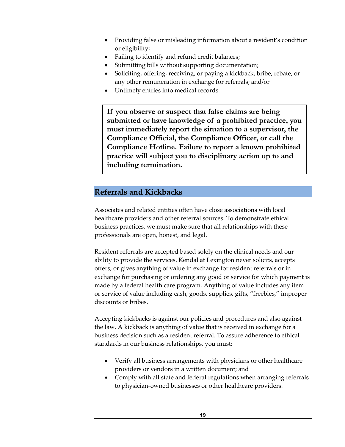- Providing false or misleading information about a resident's condition or eligibility;
- Failing to identify and refund credit balances;
- Submitting bills without supporting documentation;
- Soliciting, offering, receiving, or paying a kickback, bribe, rebate, or any other remuneration in exchange for referrals; and/or
- Untimely entries into medical records.

 **submitted or have knowledge of a prohibited practice, you practice will subject you to disciplinary action up to and If you observe or suspect that false claims are being must immediately report the situation to a supervisor, the Compliance Official, the Compliance Officer, or call the Compliance Hotline. Failure to report a known prohibited including termination.** 

#### <span id="page-22-0"></span>**Referrals and Kickbacks**

 Associates and related entities often have close associations with local healthcare providers and other referral sources. To demonstrate ethical business practices, we must make sure that all relationships with these professionals are open, honest, and legal.

 offers, or gives anything of value in exchange for resident referrals or in Resident referrals are accepted based solely on the clinical needs and our ability to provide the services. Kendal at Lexington never solicits, accepts exchange for purchasing or ordering any good or service for which payment is made by a federal health care program. Anything of value includes any item or service of value including cash, goods, supplies, gifts, "freebies," improper discounts or bribes.

 business decision such as a resident referral. To assure adherence to ethical Accepting kickbacks is against our policies and procedures and also against the law. A kickback is anything of value that is received in exchange for a standards in our business relationships, you must:

- Verify all business arrangements with physicians or other healthcare providers or vendors in a written document; and
- Comply with all state and federal regulations when arranging referrals to physician-owned businesses or other healthcare providers.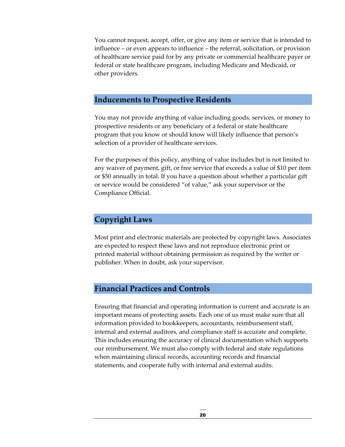You cannot request, accept, offer, or give any item or service that is intended to influence – or even appears to influence – the referral, solicitation, or provision of healthcare service paid for by any private or commercial healthcare payer or federal or state healthcare program, including Medicare and Medicaid, or other providers.

#### <span id="page-23-0"></span>**Inducements to Prospective Residents**

You may not provide anything of value including goods, services, or money to prospective residents or any beneficiary of a federal or state healthcare program that you know or should know will likely influence that person's selection of a provider of healthcare services.

 or \$50 annually in total. If you have a question about whether a particular gift For the purposes of this policy, anything of value includes but is not limited to any waiver of payment, gift, or free service that exceeds a value of \$10 per item or service would be considered "of value," ask your supervisor or the Compliance Official.

#### <span id="page-23-1"></span>**Copyright Laws**

Most print and electronic materials are protected by copyright laws. Associates are expected to respect these laws and not reproduce electronic print or printed material without obtaining permission as required by the writer or publisher. When in doubt, ask your supervisor.

#### <span id="page-23-2"></span>**Financial Practices and Controls**

Ensuring that financial and operating information is current and accurate is an important means of protecting assets. Each one of us must make sure that all information provided to bookkeepers, accountants, reimbursement staff, internal and external auditors, and compliance staff is accurate and complete. This includes ensuring the accuracy of clinical documentation which supports our reimbursement. We must also comply with federal and state regulations when maintaining clinical records, accounting records and financial statements, and cooperate fully with internal and external audits.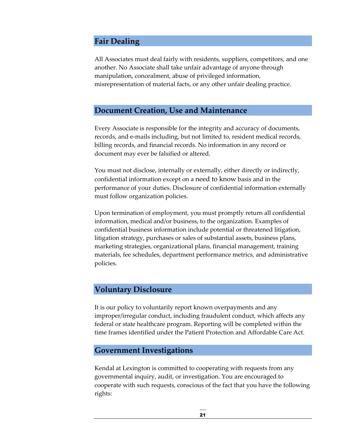#### <span id="page-24-0"></span>**Fair Dealing**

All Associates must deal fairly with residents, suppliers, competitors, and one another. No Associate shall take unfair advantage of anyone through manipulation, concealment, abuse of privileged information, misrepresentation of material facts, or any other unfair dealing practice.

#### <span id="page-24-1"></span>**Document Creation, Use and Maintenance**

Every Associate is responsible for the integrity and accuracy of documents, records, and e-mails including, but not limited to, resident medical records, billing records, and financial records. No information in any record or document may ever be falsified or altered.

You must not disclose, internally or externally, either directly or indirectly, confidential information except on a need to know basis and in the performance of your duties. Disclosure of confidential information externally must follow organization policies.

Upon termination of employment, you must promptly return all confidential information, medical and/or business, to the organization. Examples of confidential business information include potential or threatened litigation, litigation strategy, purchases or sales of substantial assets, business plans, marketing strategies, organizational plans, financial management, training materials, fee schedules, department performance metrics, and administrative policies.

#### <span id="page-24-2"></span>**Voluntary Disclosure**

It is our policy to voluntarily report known overpayments and any improper/irregular conduct, including fraudulent conduct, which affects any federal or state healthcare program. Reporting will be completed within the time frames identified under the Patient Protection and Affordable Care Act.

#### <span id="page-24-3"></span>**Government Investigations**

Kendal at Lexington is committed to cooperating with requests from any governmental inquiry, audit, or investigation. You are encouraged to cooperate with such requests, conscious of the fact that you have the following rights: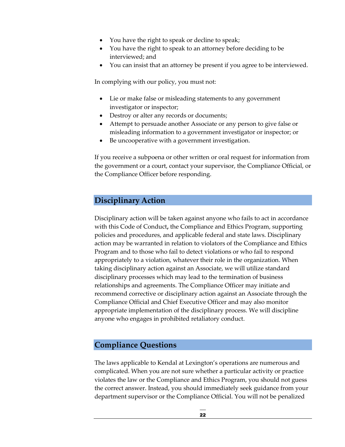- You have the right to speak or decline to speak;
- You have the right to speak to an attorney before deciding to be interviewed; and
- You can insist that an attorney be present if you agree to be interviewed.

In complying with our policy, you must not:

- Lie or make false or misleading statements to any government investigator or inspector;
- Destroy or alter any records or documents;
- Attempt to persuade another Associate or any person to give false or misleading information to a government investigator or inspector; or
- Be uncooperative with a government investigation.

If you receive a subpoena or other written or oral request for information from the government or a court, contact your supervisor, the Compliance Official, or the Compliance Officer before responding.

#### <span id="page-25-0"></span>**Disciplinary Action**

Disciplinary action will be taken against anyone who fails to act in accordance with this Code of Conduct**,** the Compliance and Ethics Program, supporting policies and procedures, and applicable federal and state laws. Disciplinary action may be warranted in relation to violators of the Compliance and Ethics Program and to those who fail to detect violations or who fail to respond appropriately to a violation, whatever their role in the organization. When taking disciplinary action against an Associate, we will utilize standard disciplinary processes which may lead to the termination of business relationships and agreements. The Compliance Officer may initiate and recommend corrective or disciplinary action against an Associate through the Compliance Official and Chief Executive Officer and may also monitor appropriate implementation of the disciplinary process. We will discipline anyone who engages in prohibited retaliatory conduct.

#### <span id="page-25-1"></span>**Compliance Questions**

The laws applicable to Kendal at Lexington's operations are numerous and complicated. When you are not sure whether a particular activity or practice violates the law or the Compliance and Ethics Program, you should not guess the correct answer. Instead, you should immediately seek guidance from your department supervisor or the Compliance Official. You will not be penalized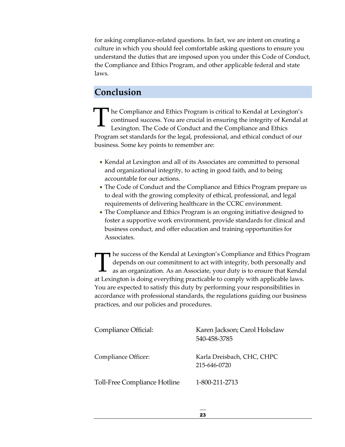culture in which you should feel comfortable asking questions to ensure you for asking compliance-related questions. In fact, we are intent on creating a understand the duties that are imposed upon you under this Code of Conduct, the Compliance and Ethics Program, and other applicable federal and state laws.

# <span id="page-26-0"></span>**Conclusion**

The Compliance and Ethics Program is critical to Kendal at Lexington's continued success. You are crucial in ensuring the integrity of Kendal at Lexington. The Code of Conduct and the Compliance and Ethics continued success. You are crucial in ensuring the integrity of Kendal at Lexington. The Code of Conduct and the Compliance and Ethics Program set standards for the legal, professional, and ethical conduct of our business. Some key points to remember are:

- Kendal at Lexington and all of its Associates are committed to personal and organizational integrity, to acting in good faith, and to being accountable for our actions.
- The Code of Conduct and the Compliance and Ethics Program prepare us to deal with the growing complexity of ethical, professional, and legal requirements of delivering healthcare in the CCRC environment.
- The Compliance and Ethics Program is an ongoing initiative designed to foster a supportive work environment, provide standards for clinical and business conduct, and offer education and training opportunities for Associates.

depends on our commitment to act with integrity, both personally and the success of the Kendal at Lexington's Compliance and Ethics Program depends on our commitment to act with integrity, both personally and as an organization. As an Associate, your duty is to ensure that Kendal at Levinst as an organization. As an Associate, your duty is to ensure that Kendal at Lexington is doing everything practicable to comply with applicable laws. You are expected to satisfy this duty by performing your responsibilities in accordance with professional standards, the regulations guiding our business practices, and our policies and procedures.

| Compliance Official:                | Karen Jackson; Carol Holsclaw<br>540-458-3785 |
|-------------------------------------|-----------------------------------------------|
| Compliance Officer:                 | Karla Dreisbach, CHC, CHPC<br>215-646-0720    |
| <b>Toll-Free Compliance Hotline</b> | 1-800-211-2713                                |